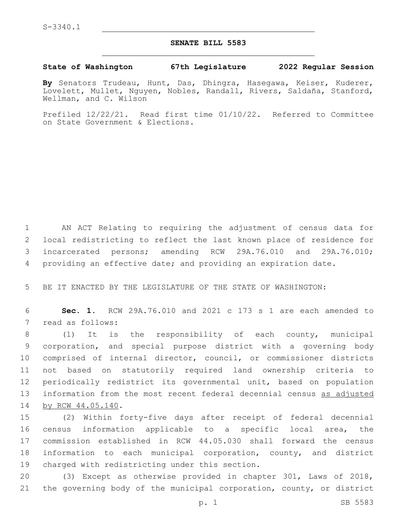## **SENATE BILL 5583**

## **State of Washington 67th Legislature 2022 Regular Session**

By Senators Trudeau, Hunt, Das, Dhingra, Hasegawa, Keiser, Kuderer, Lovelett, Mullet, Nguyen, Nobles, Randall, Rivers, Saldaña, Stanford, Wellman, and C. Wilson

Prefiled 12/22/21. Read first time 01/10/22. Referred to Committee on State Government & Elections.

 AN ACT Relating to requiring the adjustment of census data for local redistricting to reflect the last known place of residence for incarcerated persons; amending RCW 29A.76.010 and 29A.76.010; providing an effective date; and providing an expiration date.

5 BE IT ENACTED BY THE LEGISLATURE OF THE STATE OF WASHINGTON:

6 **Sec. 1.** RCW 29A.76.010 and 2021 c 173 s 1 are each amended to 7 read as follows:

 (1) It is the responsibility of each county, municipal corporation, and special purpose district with a governing body comprised of internal director, council, or commissioner districts not based on statutorily required land ownership criteria to periodically redistrict its governmental unit, based on population 13 information from the most recent federal decennial census as adjusted 14 by RCW 44.05.140.

 (2) Within forty-five days after receipt of federal decennial census information applicable to a specific local area, the commission established in RCW 44.05.030 shall forward the census information to each municipal corporation, county, and district 19 charged with redistricting under this section.

20 (3) Except as otherwise provided in chapter 301, Laws of 2018, 21 the governing body of the municipal corporation, county, or district

p. 1 SB 5583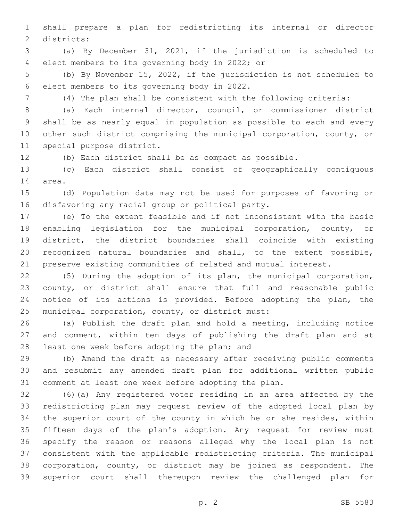shall prepare a plan for redistricting its internal or director 2 districts:

 (a) By December 31, 2021, if the jurisdiction is scheduled to elect members to its governing body in 2022; or4

 (b) By November 15, 2022, if the jurisdiction is not scheduled to 6 elect members to its governing body in 2022.

(4) The plan shall be consistent with the following criteria:

 (a) Each internal director, council, or commissioner district shall be as nearly equal in population as possible to each and every other such district comprising the municipal corporation, county, or 11 special purpose district.

(b) Each district shall be as compact as possible.

 (c) Each district shall consist of geographically contiguous 14 area.

 (d) Population data may not be used for purposes of favoring or 16 disfavoring any racial group or political party.

 (e) To the extent feasible and if not inconsistent with the basic enabling legislation for the municipal corporation, county, or district, the district boundaries shall coincide with existing recognized natural boundaries and shall, to the extent possible, preserve existing communities of related and mutual interest.

 (5) During the adoption of its plan, the municipal corporation, county, or district shall ensure that full and reasonable public notice of its actions is provided. Before adopting the plan, the 25 municipal corporation, county, or district must:

 (a) Publish the draft plan and hold a meeting, including notice and comment, within ten days of publishing the draft plan and at 28 least one week before adopting the plan; and

 (b) Amend the draft as necessary after receiving public comments and resubmit any amended draft plan for additional written public comment at least one week before adopting the plan.

 (6)(a) Any registered voter residing in an area affected by the redistricting plan may request review of the adopted local plan by the superior court of the county in which he or she resides, within fifteen days of the plan's adoption. Any request for review must specify the reason or reasons alleged why the local plan is not consistent with the applicable redistricting criteria. The municipal corporation, county, or district may be joined as respondent. The superior court shall thereupon review the challenged plan for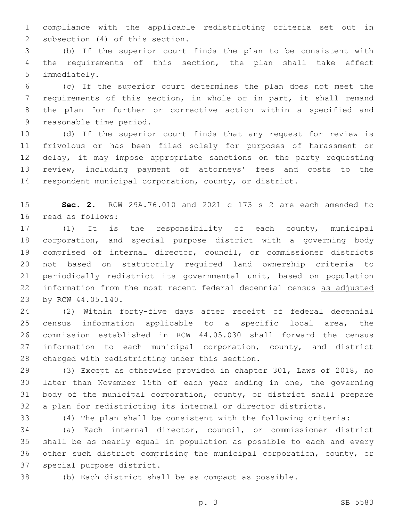compliance with the applicable redistricting criteria set out in 2 subsection (4) of this section.

 (b) If the superior court finds the plan to be consistent with the requirements of this section, the plan shall take effect 5 immediately.

 (c) If the superior court determines the plan does not meet the requirements of this section, in whole or in part, it shall remand the plan for further or corrective action within a specified and 9 reasonable time period.

 (d) If the superior court finds that any request for review is frivolous or has been filed solely for purposes of harassment or 12 delay, it may impose appropriate sanctions on the party requesting review, including payment of attorneys' fees and costs to the respondent municipal corporation, county, or district.

 **Sec. 2.** RCW 29A.76.010 and 2021 c 173 s 2 are each amended to 16 read as follows:

 (1) It is the responsibility of each county, municipal corporation, and special purpose district with a governing body comprised of internal director, council, or commissioner districts not based on statutorily required land ownership criteria to periodically redistrict its governmental unit, based on population information from the most recent federal decennial census as adjusted 23 by RCW 44.05.140.

 (2) Within forty-five days after receipt of federal decennial census information applicable to a specific local area, the commission established in RCW 44.05.030 shall forward the census 27 information to each municipal corporation, county, and district 28 charged with redistricting under this section.

 (3) Except as otherwise provided in chapter 301, Laws of 2018, no later than November 15th of each year ending in one, the governing body of the municipal corporation, county, or district shall prepare a plan for redistricting its internal or director districts.

(4) The plan shall be consistent with the following criteria:

 (a) Each internal director, council, or commissioner district shall be as nearly equal in population as possible to each and every other such district comprising the municipal corporation, county, or 37 special purpose district.

(b) Each district shall be as compact as possible.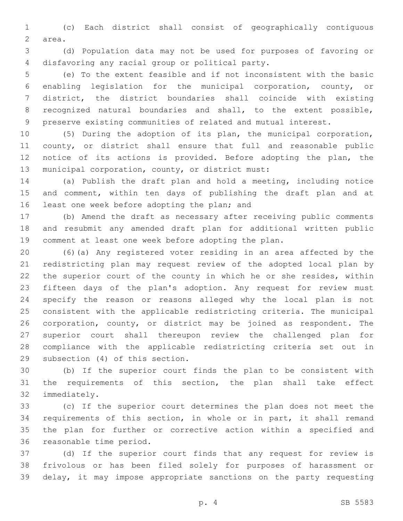(c) Each district shall consist of geographically contiguous 2 area.

 (d) Population data may not be used for purposes of favoring or 4 disfavoring any racial group or political party.

 (e) To the extent feasible and if not inconsistent with the basic enabling legislation for the municipal corporation, county, or district, the district boundaries shall coincide with existing recognized natural boundaries and shall, to the extent possible, preserve existing communities of related and mutual interest.

 (5) During the adoption of its plan, the municipal corporation, county, or district shall ensure that full and reasonable public notice of its actions is provided. Before adopting the plan, the 13 municipal corporation, county, or district must:

 (a) Publish the draft plan and hold a meeting, including notice 15 and comment, within ten days of publishing the draft plan and at 16 least one week before adopting the plan; and

 (b) Amend the draft as necessary after receiving public comments and resubmit any amended draft plan for additional written public comment at least one week before adopting the plan.

 (6)(a) Any registered voter residing in an area affected by the redistricting plan may request review of the adopted local plan by the superior court of the county in which he or she resides, within fifteen days of the plan's adoption. Any request for review must specify the reason or reasons alleged why the local plan is not consistent with the applicable redistricting criteria. The municipal corporation, county, or district may be joined as respondent. The superior court shall thereupon review the challenged plan for compliance with the applicable redistricting criteria set out in 29 subsection (4) of this section.

 (b) If the superior court finds the plan to be consistent with the requirements of this section, the plan shall take effect 32 immediately.

 (c) If the superior court determines the plan does not meet the requirements of this section, in whole or in part, it shall remand the plan for further or corrective action within a specified and 36 reasonable time period.

 (d) If the superior court finds that any request for review is frivolous or has been filed solely for purposes of harassment or delay, it may impose appropriate sanctions on the party requesting